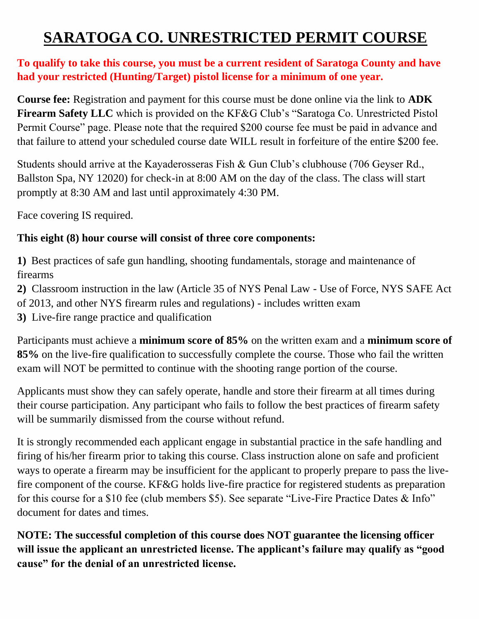# **SARATOGA CO. UNRESTRICTED PERMIT COURSE**

#### **To qualify to take this course, you must be a current resident of Saratoga County and have had your restricted (Hunting/Target) pistol license for a minimum of one year.**

**Course fee:** Registration and payment for this course must be done online via the link to **ADK Firearm Safety LLC** which is provided on the KF&G Club's "Saratoga Co. Unrestricted Pistol Permit Course" page. Please note that the required \$200 course fee must be paid in advance and that failure to attend your scheduled course date WILL result in forfeiture of the entire \$200 fee.

Students should arrive at the Kayaderosseras Fish & Gun Club's clubhouse (706 Geyser Rd., Ballston Spa, NY 12020) for check-in at 8:00 AM on the day of the class. The class will start promptly at 8:30 AM and last until approximately 4:30 PM.

Face covering IS required.

### **This eight (8) hour course will consist of three core components:**

**1)** Best practices of safe gun handling, shooting fundamentals, storage and maintenance of firearms

**2)** Classroom instruction in the law (Article 35 of NYS Penal Law - Use of Force, NYS SAFE Act of 2013, and other NYS firearm rules and regulations) - includes written exam

**3)** Live-fire range practice and qualification

Participants must achieve a **minimum score of 85%** on the written exam and a **minimum score of 85%** on the live-fire qualification to successfully complete the course. Those who fail the written exam will NOT be permitted to continue with the shooting range portion of the course.

Applicants must show they can safely operate, handle and store their firearm at all times during their course participation. Any participant who fails to follow the best practices of firearm safety will be summarily dismissed from the course without refund.

It is strongly recommended each applicant engage in substantial practice in the safe handling and firing of his/her firearm prior to taking this course. Class instruction alone on safe and proficient ways to operate a firearm may be insufficient for the applicant to properly prepare to pass the livefire component of the course. KF&G holds live-fire practice for registered students as preparation for this course for a \$10 fee (club members \$5). See separate "Live-Fire Practice Dates & Info" document for dates and times.

**NOTE: The successful completion of this course does NOT guarantee the licensing officer will issue the applicant an unrestricted license. The applicant's failure may qualify as "good cause" for the denial of an unrestricted license.**